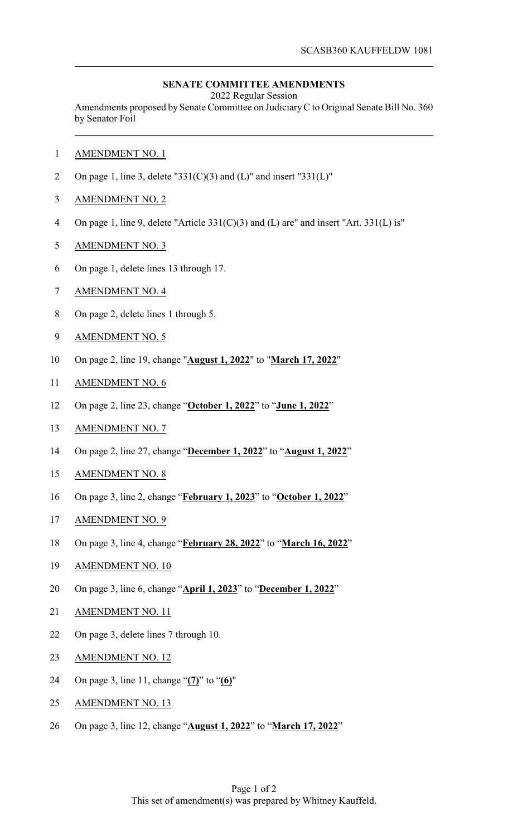## **SENATE COMMITTEE AMENDMENTS**

2022 Regular Session

Amendments proposed by Senate Committee on JudiciaryC to Original Senate Bill No. 360 by Senator Foil

- AMENDMENT NO. 1
- 2 On page 1, line 3, delete "331(C)(3) and (L)" and insert "331(L)"
- AMENDMENT NO. 2
- On page 1, line 9, delete "Article 331(C)(3) and (L) are" and insert "Art. 331(L) is"
- AMENDMENT NO. 3
- On page 1, delete lines 13 through 17.
- AMENDMENT NO. 4
- On page 2, delete lines 1 through 5.
- AMENDMENT NO. 5
- On page 2, line 19, change "**August 1, 2022**" to "**March 17, 2022**"
- AMENDMENT NO. 6
- On page 2, line 23, change "**October 1, 2022**" to "**June 1, 2022**"
- AMENDMENT NO. 7
- On page 2, line 27, change "**December 1, 2022**" to "**August 1, 2022**"
- AMENDMENT NO. 8
- On page 3, line 2, change "**February 1, 2023**" to "**October 1, 2022**"
- AMENDMENT NO. 9
- On page 3, line 4, change "**February 28, 2022**" to "**March 16, 2022**"
- AMENDMENT NO. 10
- On page 3, line 6, change "**April 1, 2023**" to "**December 1, 2022**"
- AMENDMENT NO. 11
- On page 3, delete lines 7 through 10.
- AMENDMENT NO. 12
- On page 3, line 11, change "**(7)**" to "**(6)**"
- 25 AMENDMENT NO. 13
- On page 3, line 12, change "**August 1, 2022**" to "**March 17, 2022**"